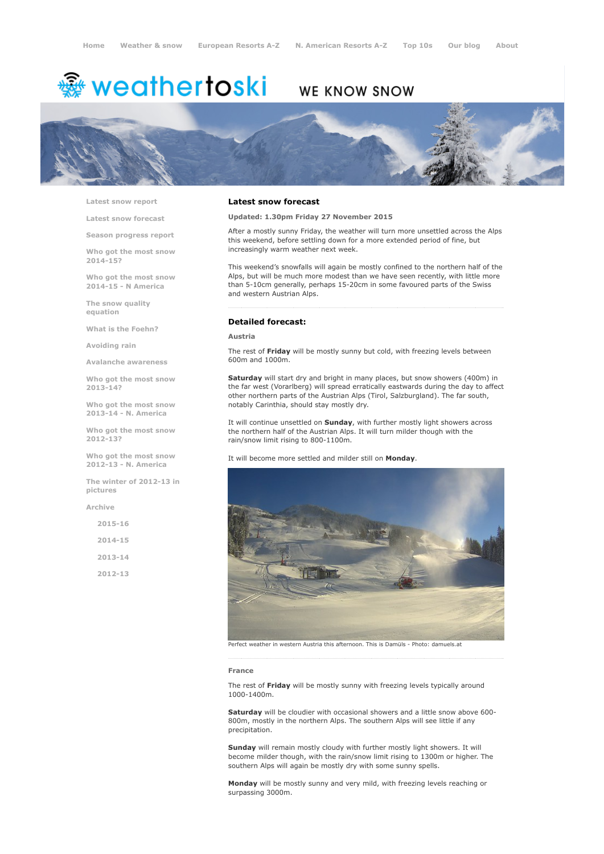# <sup>霧</sup> weathertoski

## WE KNOW SNOW



Latest snow [report](http://www.weathertoski.co.uk/weather-snow/latest-snow-report/)

Latest snow [forecast](http://www.weathertoski.co.uk/weather-snow/latest-snow-forecast/)

Season [progress](http://www.weathertoski.co.uk/weather-snow/season-progress-report/) report

Who got the most snow 2014-15?

Who got the most snow 2014-15 - N America

The snow quality [equation](http://www.weathertoski.co.uk/weather-snow/the-snow-quality-equation/)

What is the [Foehn?](http://www.weathertoski.co.uk/weather-snow/what-is-the-foehn/)

[Avoiding](http://www.weathertoski.co.uk/weather-snow/avoiding-rain/) rain

Avalanche [awareness](http://www.weathertoski.co.uk/weather-snow/avalanche-awareness/)

Who got the most snow 2013-14?

Who got the most snow 2013-14 - N. America

Who got the most snow 2012-13?

Who got the most snow 2012-13 - N. America

The winter of 2012-13 in pictures

[Archive](http://www.weathertoski.co.uk/weather-snow/archive/)

2015-16 2014-15 2013-14

2012-13

#### Latest snow forecast

Updated: 1.30pm Friday 27 November 2015

After a mostly sunny Friday, the weather will turn more unsettled across the Alps this weekend, before settling down for a more extended period of fine, but increasingly warm weather next week.

This weekend's snowfalls will again be mostly confined to the northern half of the Alps, but will be much more modest than we have seen recently, with little more than 5-10cm generally, perhaps 15-20cm in some favoured parts of the Swiss and western Austrian Alps.

### Detailed forecast:

#### Austria

The rest of Friday will be mostly sunny but cold, with freezing levels between 600m and 1000m.

Saturday will start dry and bright in many places, but snow showers (400m) in the far west (Vorarlberg) will spread erratically eastwards during the day to affect other northern parts of the Austrian Alps (Tirol, Salzburgland). The far south, notably Carinthia, should stay mostly dry.

It will continue unsettled on Sunday, with further mostly light showers across the northern half of the Austrian Alps. It will turn milder though with the rain/snow limit rising to 800-1100m.

It will become more settled and milder still on Monday.



Perfect weather in western Austria this afternoon. This is Damüls Photo: damuels.at

#### France

The rest of Friday will be mostly sunny with freezing levels typically around 1000-1400m.

Saturday will be cloudier with occasional showers and a little snow above 600-800m, mostly in the northern Alps. The southern Alps will see little if any precipitation.

Sunday will remain mostly cloudy with further mostly light showers. It will become milder though, with the rain/snow limit rising to 1300m or higher. The southern Alps will again be mostly dry with some sunny spells.

Monday will be mostly sunny and very mild, with freezing levels reaching or surpassing 3000m.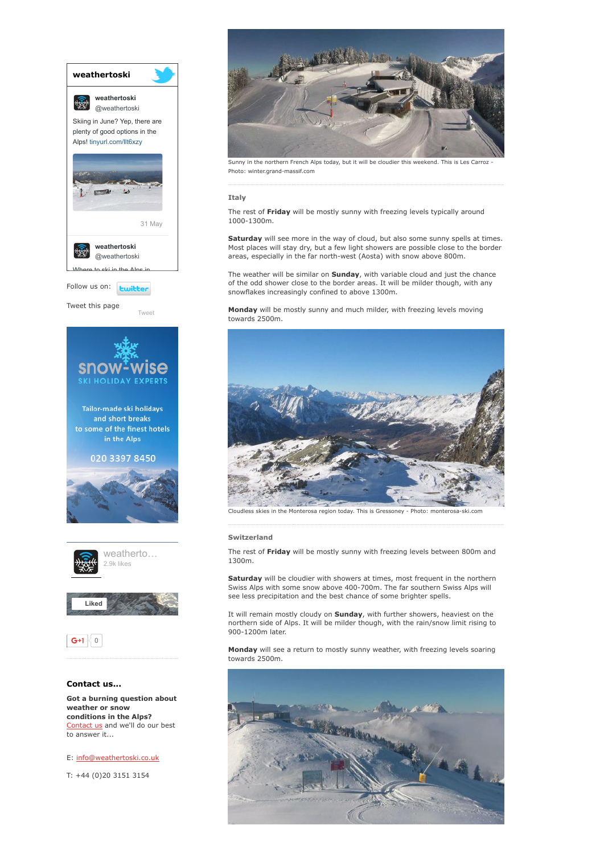

weather or snow conditions in the Alps? [Contact](http://www.weathertoski.co.uk/about-1/contact-us/) us and we'll do our best to answer it...

E: [info@weathertoski.co.uk](mailto:fraser@weathertoski.co.uk)

T: +44 (0)20 3151 3154



Sunny in the northern French Alps today, but it will be cloudier this weekend. This is Les Carroz Photo: winter.grand-massif.com

#### Italy

The rest of Friday will be mostly sunny with freezing levels typically around 1000-1300m.

Saturday will see more in the way of cloud, but also some sunny spells at times. Most places will stay dry, but a few light showers are possible close to the border areas, especially in the far north-west (Aosta) with snow above 800m.

The weather will be similar on **Sunday**, with variable cloud and just the chance of the odd shower close to the border areas. It will be milder though, with any snowflakes increasingly confined to above 1300m.

Monday will be mostly sunny and much milder, with freezing levels moving towards 2500m.



Cloudless skies in the Monterosa region today. This is Gressoney - Photo: monterosa-ski.com

#### Switzerland

The rest of Friday will be mostly sunny with freezing levels between 800m and 1300m.

Saturday will be cloudier with showers at times, most frequent in the northern Swiss Alps with some snow above 400-700m. The far southern Swiss Alps will see less precipitation and the best chance of some brighter spells.

It will remain mostly cloudy on Sunday, with further showers, heaviest on the northern side of Alps. It will be milder though, with the rain/snow limit rising to 900-1200m later.

Monday will see a return to mostly sunny weather, with freezing levels soaring towards 2500m.